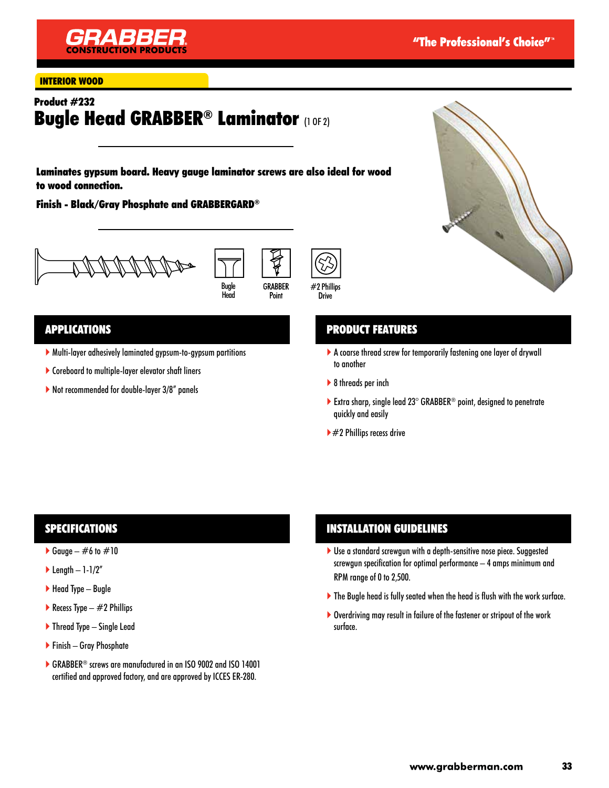

#### INTERIOR WOOD

# Product #232 **Bugle Head GRABBER® Laminator (1 OF 2)**

Laminates gypsum board. Heavy gauge laminator screws are also ideal for wood to wood connection.

Finish - Black/Gray Phosphate and GRABBERGARD®







### APPLICATIONS

- Multi-layer adhesively laminated gypsum-to-gypsum partitions
- Coreboard to multiple-layer elevator shaft liners
- ▶ Not recommended for double-layer 3/8" panels



## PRODUCT FEATURES

- A coarse thread screw for temporarily fastening one layer of drywall to another
- ▶ 8 threads per inch
- Extra sharp, single lead  $23^\circ$  GRABBER<sup>®</sup> point, designed to penetrate quickly and easily
- $\blacktriangleright$  #2 Phillips recess drive

### SPECIFICATIONS

- Gauge  $\#6$  to  $\#10$
- $\blacktriangleright$  Length 1-1/2"
- $\blacktriangleright$  Head Type Bugle
- Recess Type  $-$  #2 Phillips
- $\blacktriangleright$  Thread Type Single Lead
- Finish Gray Phosphate
- ▶ GRABBER<sup>®</sup> screws are manufactured in an ISO 9002 and ISO 14001 certified and approved factory, and are approved by ICCES ER-280.

### INSTALLATION GUIDELINES

- ▶ Use a standard screwgun with a depth-sensitive nose piece. Suggested screwgun specification for optimal performance – 4 amps minimum and RPM range of 0 to 2,500.
- The Bugle head is fully seated when the head is flush with the work surface.
- ▶ Overdriving may result in failure of the fastener or stripout of the work surface.